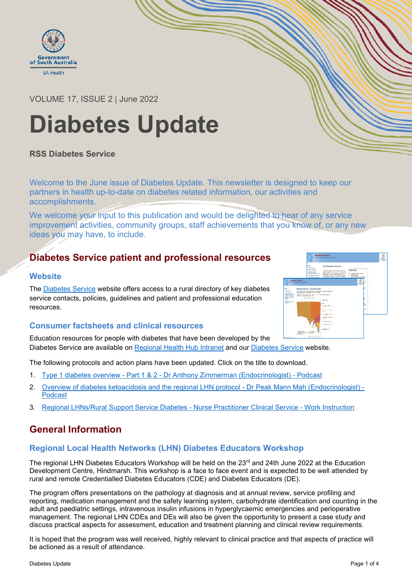

## VOLUME 17, ISSUE 2 | June 2022

# **Diabetes Update**

## **RSS Diabetes Service**

Welcome to the June issue of Diabetes Update. This newsletter is designed to keep our partners in health up-to-date on diabetes related information, our activities and accomplishments.

We welcome your input to this publication and would be delighted to hear of any service improvement activities, community groups, staff achievements that you know of, or any new ideas you may have, to include.

# **Diabetes Service patient and professional resources**

#### **Website**

The [Diabetes Service](http://www.chsa-diabetes.org.au/) website offers access to a rural directory of key diabetes service contacts, policies, guidelines and patient and professional education resources.

## **Consumer factsheets and clinical resources**

Education resources for people with diabetes that have been developed by the Diabetes Service are available on [Regional Health Hub Intranet](https://sagov.sharepoint.com/sites/CHSA/clinical/diabetes/Pages/Services-in-Country.aspx) and our [Diabetes Service](http://www.chsa-diabetes.org.au/) website.

The following protocols and action plans have been updated. Click on the title to download.

- 1. Type 1 diabetes overview Part 1 & 2 [Dr Anthony Zimmerman \(Endocrinologist\) -](https://www.chsa-diabetes.org.au/professional/ProfessionalDevelopment.asp) Podcast
- 2. [Overview of diabetes ketoacidosis and the regional LHN protocol -](https://www.chsa-diabetes.org.au/clinicalpractice/DiabetesKetoacidosisManagement.asp) Dr Peak Mann Mah (Endocrinologist) [Podcast](https://www.chsa-diabetes.org.au/clinicalpractice/DiabetesKetoacidosisManagement.asp)
- 3. [Regional LHNs/Rural Support Service Diabetes -](https://sagov.sharepoint.com/sites/CHSA/clinical/diabetes/Pages/Nurse-Practitioner---Diabetes-Service.aspx) Nurse Practitioner Clinical Service Work Instruction

# **General Information**

## **Regional Local Health Networks (LHN) Diabetes Educators Workshop**

The regional LHN Diabetes Educators Workshop will be held on the  $23<sup>rd</sup>$  and 24th June 2022 at the Education Development Centre, Hindmarsh. This workshop is a face to face event and is expected to be well attended by rural and remote Credentialled Diabetes Educators (CDE) and Diabetes Educators (DE).

The program offers presentations on the pathology at diagnosis and at annual review, service profiling and reporting, medication management and the safety learning system, carbohydrate identification and counting in the adult and paediatric settings, intravenous insulin infusions in hyperglycaemic emergencies and perioperative management. The regional LHN CDEs and DEs will also be given the opportunity to present a case study and discuss practical aspects for assessment, education and treatment planning and clinical review requirements.

It is hoped that the program was well received, highly relevant to clinical practice and that aspects of practice will be actioned as a result of attendance.

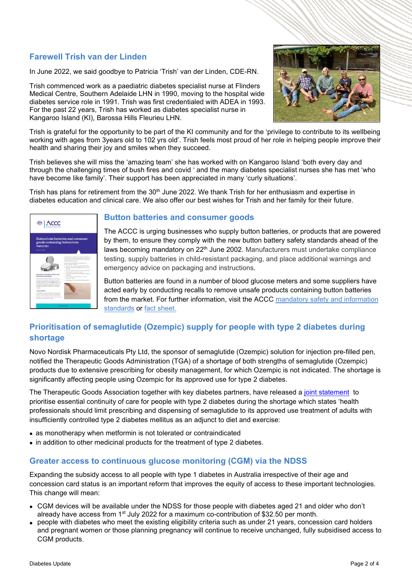## **Farewell Trish van der Linden**

In June 2022, we said goodbye to Patricia 'Trish' van der Linden, CDE-RN.

Trish commenced work as a paediatric diabetes specialist nurse at Flinders Medical Centre, Southern Adelaide LHN in 1990, moving to the hospital wide diabetes service role in 1991. Trish was first credentialed with ADEA in 1993. For the past 22 years, Trish has worked as diabetes specialist nurse in Kangaroo Island (KI), Barossa Hills Fleurieu LHN.



Trish is grateful for the opportunity to be part of the KI community and for the 'privilege to contribute to its wellbeing working with ages from 3years old to 102 yrs old'. Trish feels most proud of her role in helping people improve their health and sharing their joy and smiles when they succeed.

Trish believes she will miss the 'amazing team' she has worked with on Kangaroo Island 'both every day and through the challenging times of bush fires and covid ' and the many diabetes specialist nurses she has met 'who have become like family'. Their support has been appreciated in many 'curly situations'.

Trish has plans for retirement from the  $30<sup>th</sup>$  June 2022. We thank Trish for her enthusiasm and expertise in diabetes education and clinical care. We also offer our best wishes for Trish and her family for their future.

| СC<br><b>B CARTERIA COMMISSION</b><br>Button/coin batteries and consumer<br>goods containing button/coin<br><b>batteries</b><br>Ortobar 0020 |  |
|----------------------------------------------------------------------------------------------------------------------------------------------|--|
|                                                                                                                                              |  |

#### **Button batteries and consumer goods**

The ACCC is urging businesses who supply button batteries, or products that are powered by them, to ensure they comply with the new button battery safety standards ahead of the laws becoming mandatory on 22<sup>th</sup> June 2002. Manufacturers must undertake compliance testing, supply batteries in child-resistant packaging, and place additional warnings and emergency advice on packaging and instructions.

Button batteries are found in a number of blood glucose meters and some suppliers have acted early by conducting recalls to remove unsafe products containing button batteries from the market. For further information, visit the ACCC [mandatory safety and information](https://www.productsafety.gov.au/product-safety-laws/safety-standards-bans/mandatory-standards/button-and-coin-batteries)  [standards](https://www.productsafety.gov.au/product-safety-laws/safety-standards-bans/mandatory-standards/button-and-coin-batteries) or [fact sheet.](https://www.productsafety.gov.au/about-us/publications/buttoncoin-batteries-and-consumer-goods-containing-buttoncoin-batteries-fact-sheet)

# **Prioritisation of semaglutide (Ozempic) supply for people with type 2 diabetes during shortage**

Novo Nordisk Pharmaceuticals Pty Ltd, the sponsor of semaglutide (Ozempic) solution for injection pre-filled pen, notified the Therapeutic Goods Administration (TGA) of a shortage of both strengths of semaglutide (Ozempic) products due to extensive prescribing for obesity management, for which Ozempic is not indicated. The shortage is significantly affecting people using Ozempic for its approved use for type 2 diabetes.

The Therapeutic Goods Association together with key diabetes partners, have released a [joint statement](https://www.tga.gov.au/alert/joint-statement-prioritisation-semaglutide-ozempic-supply-people-type-2-diabetes-during-shortage) to prioritise essential continuity of care for people with type 2 diabetes during the shortage which states 'health professionals should limit prescribing and dispensing of semaglutide to its approved use treatment of adults with insufficiently controlled type 2 diabetes mellitus as an adjunct to diet and exercise:

- as monotherapy when metformin is not tolerated or contraindicated
- in addition to other medicinal products for the treatment of type 2 diabetes.

## **Greater access to continuous glucose monitoring (CGM) via the NDSS**

Expanding the subsidy access to all people with type 1 diabetes in Australia irrespective of their age and concession card status is an important reform that improves the equity of access to these important technologies. This change will mean:

- CGM devices will be available under the NDSS for those people with diabetes aged 21 and older who don't already have access from 1<sup>st</sup> July 2022 for a maximum co-contribution of \$32.50 per month.
- people with diabetes who meet the existing eligibility criteria such as under 21 years, concession card holders and pregnant women or those planning pregnancy will continue to receive unchanged, fully subsidised access to CGM products.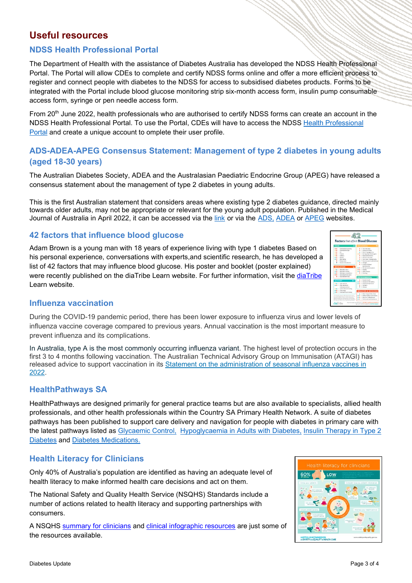# **Useful resources**

## **NDSS Health Professional Portal**

The Department of Health with the assistance of Diabetes Australia has developed the NDSS Health Professional Portal. The Portal will allow CDEs to complete and certify NDSS forms online and offer a more efficient process to register and connect people with diabetes to the NDSS for access to subsidised diabetes products. Forms to be integrated with the Portal include blood glucose monitoring strip six-month access form, insulin pump consumable access form, syringe or pen needle access form.

From 20<sup>th</sup> June 2022, health professionals who are authorised to certify NDSS forms can create an account in the NDSS Health Professional Portal. To use the Portal, CDEs will have to access the NDSS [Health Professional](https://www.ndss.com.au/hp-portal/)  [Portal](https://www.ndss.com.au/hp-portal/) and create a unique account to omplete their user profile.

## **ADS-ADEA-APEG Consensus Statement: Management of type 2 diabetes in young adults (aged 18-30 years)**

The Australian Diabetes Society, ADEA and the Australasian Paediatric Endocrine Group (APEG) have released a consensus statement about the management of type 2 diabetes in young adults.

This is the first Australian statement that considers areas where existing type 2 diabetes guidance, directed mainly towards older adults, may not be appropriate or relevant for the young adult population. Published in the Medical Journal of Australia in April 2022, it can be accessed via the [link](https://www.mja.com.au/journal/2022/216/8/management-type-2-diabetes-young-adults-aged-18-30-years-adsadeaapeg-consensus) or via the [ADS,](https://www.diabetessociety.com.au/) [ADEA](https://www.adea.com.au/) or [APEG](https://www.apeg.org.au/) websites.

## **42 factors that influence blood glucose**

Adam Brown is a young man with 18 years of experience living with type 1 diabetes Based on his personal experience, conversations with experts,and scientific research, he has developed a list of 42 factors that may influence blood glucose. His poster and booklet (poster explained) were recently published on the diaTribe Learn website. For further information, visit the [diaTribe](https://diatribe.org/poster-now-available-42-factors-affect-blood-glucose?utm_campaign=20210504%20DNSW%20Diabetes%20Qualified%20Link%20Newsletter&utm_medium=email&_hsmi=204053708&_hsenc=p2ANqtz-8ZWXx3giRYHoG-BlMQc8I7fdbEs56VPqUJUZdWK8y01cmsipmTxlUdB9c1n6vDp2AIbMzcPgJWJYMZ9eVnIs4fmzJZEzs4If0DKCiF52qG52fAy9U&utm_content=204053708&utm_source=hs_email) Learn website.



#### **Influenza vaccination**

During the COVID-19 pandemic period, there has been lower exposure to influenza virus and lower levels of influenza vaccine coverage compared to previous years. Annual vaccination is the most important measure to prevent influenza and its complications.

In Australia, type A is the most commonly occurring influenza variant. The highest level of protection occurs in the first 3 to 4 months following vaccination. The Australian Technical Advisory Group on Immunisation (ATAGI) has released advice to support vaccination in its [Statement on the administration of seasonal influenza vaccines in](https://www.health.gov.au/resources/publications/atagi-advice-on-seasonal-influenza-vaccines-in-2022)  [2022.](https://www.health.gov.au/resources/publications/atagi-advice-on-seasonal-influenza-vaccines-in-2022)

#### **HealthPathways SA**

HealthPathways are designed primarily for general practice teams but are also available to specialists, allied health professionals, and other health professionals within the Country SA Primary Health Network. A suite of diabetes pathways has been published to support care delivery and navigation for people with diabetes in primary care with the latest pathways listed as [Glycaemic Control,](https://aus01.safelinks.protection.outlook.com/?url=https%3A%2F%2Fsouthaustralia.communityhealthpathways.org%2F25017.htm&data=04%7C01%7Ccollette.hooper%40sa.gov.au%7Cbd565728cf344e85bd9908da071f8578%7Cbda528f7fca9432fbc98bd7e90d40906%7C1%7C0%7C637830130496009276%7CUnknown%7CTWFpbGZsb3d8eyJWIjoiMC4wLjAwMDAiLCJQIjoiV2luMzIiLCJBTiI6Ik1haWwiLCJXVCI6Mn0%3D%7C2000&sdata=V1Gl%2FE1c8A9C0gwFCKednUt9%2Bq4%2FmT%2BJyWrSwydX7TI%3D&reserved=0) [Hypoglycaemia in Adults with Diabetes,](https://aus01.safelinks.protection.outlook.com/?url=https%3A%2F%2Fsouthaustralia.communityhealthpathways.org%2F23529.htm&data=04%7C01%7Ccollette.hooper%40sa.gov.au%7Cbd565728cf344e85bd9908da071f8578%7Cbda528f7fca9432fbc98bd7e90d40906%7C1%7C0%7C637830130496009276%7CUnknown%7CTWFpbGZsb3d8eyJWIjoiMC4wLjAwMDAiLCJQIjoiV2luMzIiLCJBTiI6Ik1haWwiLCJXVCI6Mn0%3D%7C2000&sdata=5g9BrFBUcCRRfYUIcRmjTCbmJVYRatGnYj5Pgo7Iwcw%3D&reserved=0) [Insulin Therapy in Type 2](https://aus01.safelinks.protection.outlook.com/?url=https%3A%2F%2Fsouthaustralia.communityhealthpathways.org%2F196471.htm&data=04%7C01%7Ccollette.hooper%40sa.gov.au%7Cbd565728cf344e85bd9908da071f8578%7Cbda528f7fca9432fbc98bd7e90d40906%7C1%7C0%7C637830130496009276%7CUnknown%7CTWFpbGZsb3d8eyJWIjoiMC4wLjAwMDAiLCJQIjoiV2luMzIiLCJBTiI6Ik1haWwiLCJXVCI6Mn0%3D%7C2000&sdata=3XcnZi27noJv1WjymVPOdwz3JZzK%2Ba3Cr236NdrEReE%3D&reserved=0)  [Diabetes](https://aus01.safelinks.protection.outlook.com/?url=https%3A%2F%2Fsouthaustralia.communityhealthpathways.org%2F196471.htm&data=04%7C01%7Ccollette.hooper%40sa.gov.au%7Cbd565728cf344e85bd9908da071f8578%7Cbda528f7fca9432fbc98bd7e90d40906%7C1%7C0%7C637830130496009276%7CUnknown%7CTWFpbGZsb3d8eyJWIjoiMC4wLjAwMDAiLCJQIjoiV2luMzIiLCJBTiI6Ik1haWwiLCJXVCI6Mn0%3D%7C2000&sdata=3XcnZi27noJv1WjymVPOdwz3JZzK%2Ba3Cr236NdrEReE%3D&reserved=0) and [Diabetes Medications.](https://aus01.safelinks.protection.outlook.com/?url=https%3A%2F%2Fsouthaustralia.communityhealthpathways.org%2F24232.htm&data=04%7C01%7Ccollette.hooper%40sa.gov.au%7Cbd565728cf344e85bd9908da071f8578%7Cbda528f7fca9432fbc98bd7e90d40906%7C1%7C0%7C637830130496009276%7CUnknown%7CTWFpbGZsb3d8eyJWIjoiMC4wLjAwMDAiLCJQIjoiV2luMzIiLCJBTiI6Ik1haWwiLCJXVCI6Mn0%3D%7C2000&sdata=2E9eUkj4euRcVDVZQMrTjaOUd2esCv%2FDj03oYowLRYc%3D&reserved=0)

## **Health Literacy for Clinicians**

Only 40% of Australia's population are identified as having an adequate level of health literacy to make informed health care decisions and act on them.

The National Safety and Quality Health Service (NSQHS) Standards include a number of actions related to health literacy and supporting partnerships with consumers.

A NSQHS [summary for clinicians](https://www.safetyandquality.gov.au/sites/default/files/migrated/Health-literacy-a-summary-for-clinicians.pdf) and [clinical infographic resources](https://www.safetyandquality.gov.au/publications-and-resources/resource-library/health-literacy-clinicians-infographic) are just some of the resources available.